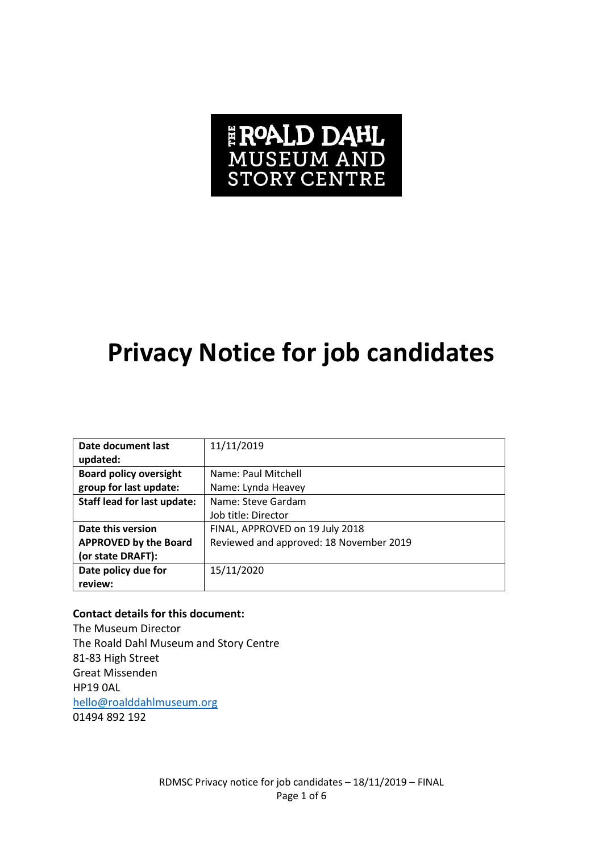# **FROALD DAHL**<br>MUSEUM AND<br>STORY CENTRE

## **Privacy Notice for job candidates**

| Date document last                 | 11/11/2019                              |
|------------------------------------|-----------------------------------------|
| updated:                           |                                         |
| <b>Board policy oversight</b>      | Name: Paul Mitchell                     |
| group for last update:             | Name: Lynda Heavey                      |
| <b>Staff lead for last update:</b> | Name: Steve Gardam                      |
|                                    | Job title: Director                     |
| Date this version                  | FINAL, APPROVED on 19 July 2018         |
| <b>APPROVED by the Board</b>       | Reviewed and approved: 18 November 2019 |
| (or state DRAFT):                  |                                         |
| Date policy due for                | 15/11/2020                              |
| review:                            |                                         |

#### **Contact details for this document:**

The Museum Director The Roald Dahl Museum and Story Centre 81-83 High Street Great Missenden HP19 0AL [hello@roalddahlmuseum.org](mailto:hello@roalddahlmuseum.org) 01494 892 192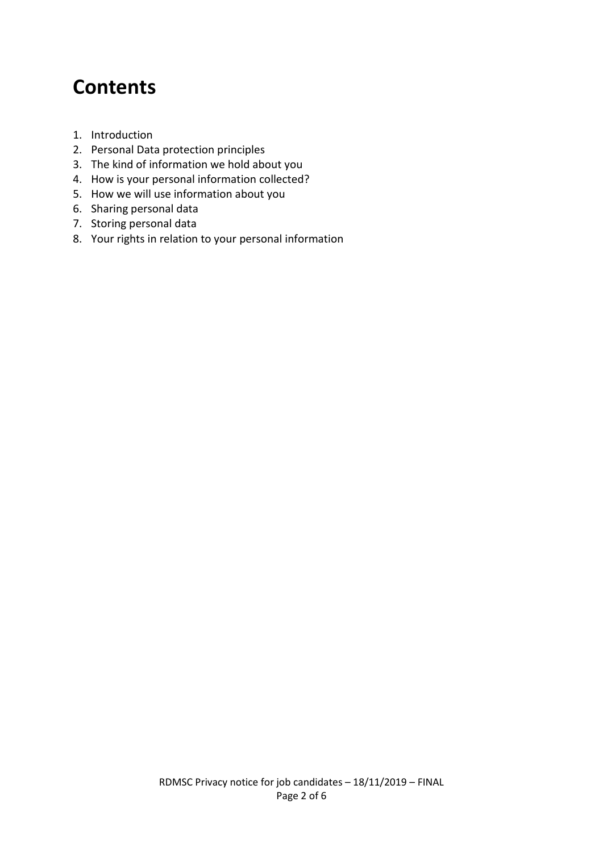### **Contents**

- 1. Introduction
- 2. Personal Data protection principles
- 3. The kind of information we hold about you
- 4. How is your personal information collected?
- 5. How we will use information about you
- 6. Sharing personal data
- 7. Storing personal data
- 8. Your rights in relation to your personal information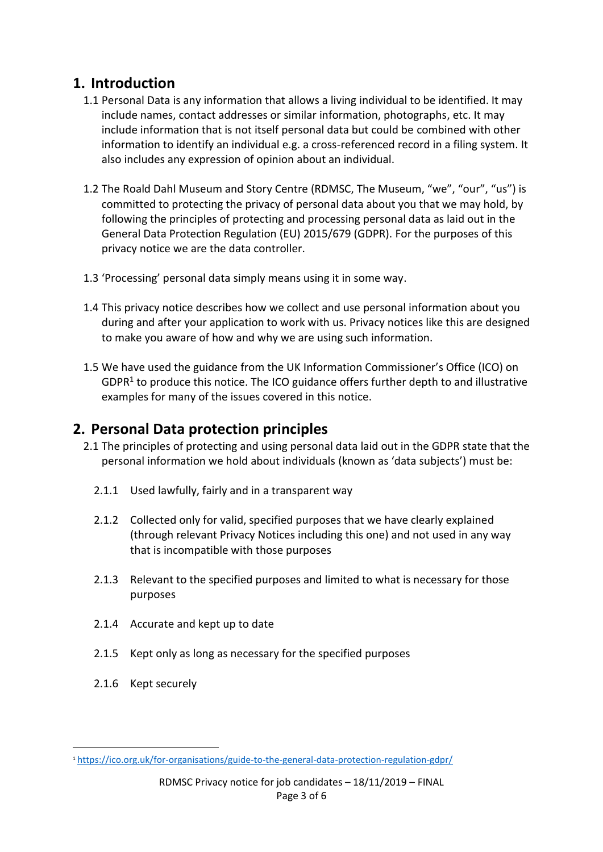#### **1. Introduction**

- 1.1 Personal Data is any information that allows a living individual to be identified. It may include names, contact addresses or similar information, photographs, etc. It may include information that is not itself personal data but could be combined with other information to identify an individual e.g. a cross-referenced record in a filing system. It also includes any expression of opinion about an individual.
- 1.2 The Roald Dahl Museum and Story Centre (RDMSC, The Museum, "we", "our", "us") is committed to protecting the privacy of personal data about you that we may hold, by following the principles of protecting and processing personal data as laid out in the General Data Protection Regulation (EU) 2015/679 (GDPR). For the purposes of this privacy notice we are the data controller.
- 1.3 'Processing' personal data simply means using it in some way.
- 1.4 This privacy notice describes how we collect and use personal information about you during and after your application to work with us. Privacy notices like this are designed to make you aware of how and why we are using such information.
- 1.5 We have used the guidance from the UK Information Commissioner's Office (ICO) on  $GDPR<sup>1</sup>$  to produce this notice. The ICO guidance offers further depth to and illustrative examples for many of the issues covered in this notice.

#### **2. Personal Data protection principles**

- 2.1 The principles of protecting and using personal data laid out in the GDPR state that the personal information we hold about individuals (known as 'data subjects') must be:
	- 2.1.1 Used lawfully, fairly and in a transparent way
	- 2.1.2 Collected only for valid, specified purposes that we have clearly explained (through relevant Privacy Notices including this one) and not used in any way that is incompatible with those purposes
	- 2.1.3 Relevant to the specified purposes and limited to what is necessary for those purposes
	- 2.1.4 Accurate and kept up to date
	- 2.1.5 Kept only as long as necessary for the specified purposes
	- 2.1.6 Kept securely

<sup>1</sup> <https://ico.org.uk/for-organisations/guide-to-the-general-data-protection-regulation-gdpr/>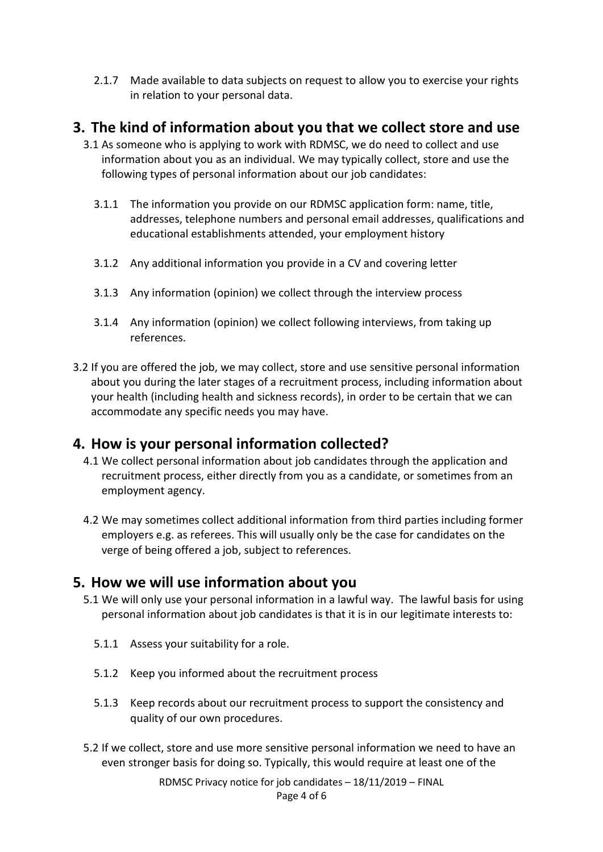2.1.7 Made available to data subjects on request to allow you to exercise your rights in relation to your personal data.

#### **3. The kind of information about you that we collect store and use**

- 3.1 As someone who is applying to work with RDMSC, we do need to collect and use information about you as an individual. We may typically collect, store and use the following types of personal information about our job candidates:
	- 3.1.1 The information you provide on our RDMSC application form: name, title, addresses, telephone numbers and personal email addresses, qualifications and educational establishments attended, your employment history
	- 3.1.2 Any additional information you provide in a CV and covering letter
	- 3.1.3 Any information (opinion) we collect through the interview process
	- 3.1.4 Any information (opinion) we collect following interviews, from taking up references.
- 3.2 If you are offered the job, we may collect, store and use sensitive personal information about you during the later stages of a recruitment process, including information about your health (including health and sickness records), in order to be certain that we can accommodate any specific needs you may have.

#### **4. How is your personal information collected?**

- 4.1 We collect personal information about job candidates through the application and recruitment process, either directly from you as a candidate, or sometimes from an employment agency.
- 4.2 We may sometimes collect additional information from third parties including former employers e.g. as referees. This will usually only be the case for candidates on the verge of being offered a job, subject to references.

#### **5. How we will use information about you**

- 5.1 We will only use your personal information in a lawful way. The lawful basis for using personal information about job candidates is that it is in our legitimate interests to:
	- 5.1.1 Assess your suitability for a role.
	- 5.1.2 Keep you informed about the recruitment process
	- 5.1.3 Keep records about our recruitment process to support the consistency and quality of our own procedures.
- 5.2 If we collect, store and use more sensitive personal information we need to have an even stronger basis for doing so. Typically, this would require at least one of the

RDMSC Privacy notice for job candidates – 18/11/2019 – FINAL Page 4 of 6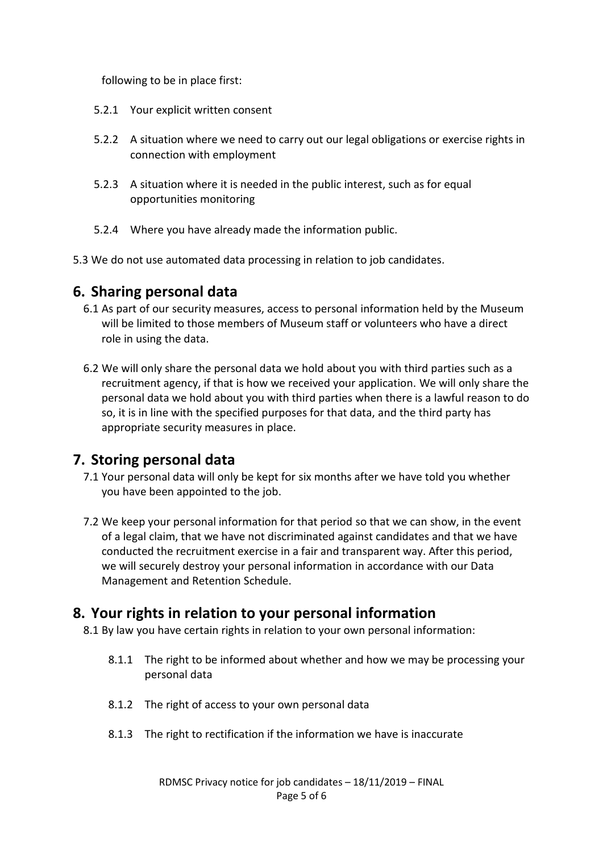following to be in place first:

- 5.2.1 Your explicit written consent
- 5.2.2 A situation where we need to carry out our legal obligations or exercise rights in connection with employment
- 5.2.3 A situation where it is needed in the public interest, such as for equal opportunities monitoring
- 5.2.4 Where you have already made the information public.
- 5.3 We do not use automated data processing in relation to job candidates.

#### **6. Sharing personal data**

- 6.1 As part of our security measures, access to personal information held by the Museum will be limited to those members of Museum staff or volunteers who have a direct role in using the data.
- 6.2 We will only share the personal data we hold about you with third parties such as a recruitment agency, if that is how we received your application. We will only share the personal data we hold about you with third parties when there is a lawful reason to do so, it is in line with the specified purposes for that data, and the third party has appropriate security measures in place.

#### **7. Storing personal data**

- 7.1 Your personal data will only be kept for six months after we have told you whether you have been appointed to the job.
- 7.2 We keep your personal information for that period so that we can show, in the event of a legal claim, that we have not discriminated against candidates and that we have conducted the recruitment exercise in a fair and transparent way. After this period, we will securely destroy your personal information in accordance with our Data Management and Retention Schedule.

#### **8. Your rights in relation to your personal information**

8.1 By law you have certain rights in relation to your own personal information:

- 8.1.1 The right to be informed about whether and how we may be processing your personal data
- 8.1.2 The right of access to your own personal data
- 8.1.3 The right to rectification if the information we have is inaccurate